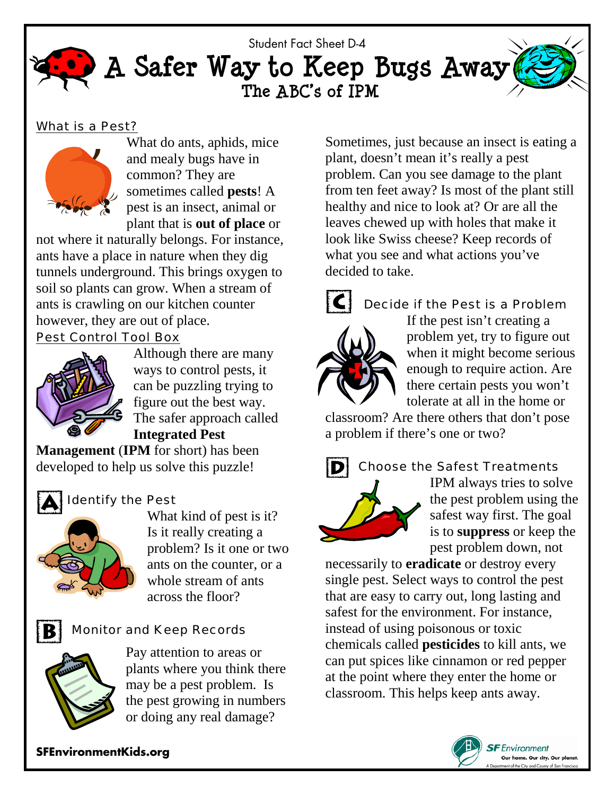

### What is a Pest?



What do ants, aphids, mice and mealy bugs have in common? They are sometimes called **pests**! A pest is an insect, animal or plant that is **out of place** or

not where it naturally belongs. For instance, ants have a place in nature when they dig tunnels underground. This brings oxygen to soil so plants can grow. When a stream of ants is crawling on our kitchen counter however, they are out of place.

# Pest Control Tool Box



Although there are many ways to control pests, it can be puzzling trying to figure out the best way. The safer approach called **Integrated Pest** 

**Management** (**IPM** for short) has been developed to help us solve this puzzle!



# Identify the Pest



What kind of pest is it? Is it really creating a problem? Is it one or two ants on the counter, or a whole stream of ants across the floor?

# Monitor and Keep Records



Pay attention to areas or plants where you think there may be a pest problem. Is the pest growing in numbers or doing any real damage?

Sometimes, just because an insect is eating a plant, doesn't mean it's really a pest problem. Can you see damage to the plant from ten feet away? Is most of the plant still healthy and nice to look at? Or are all the leaves chewed up with holes that make it look like Swiss cheese? Keep records of what you see and what actions you've decided to take.



## Decide if the Pest is a Problem

If the pest isn't creating a problem yet, try to figure out when it might become serious enough to require action. Are there certain pests you won't tolerate at all in the home or

classroom? Are there others that don't pose a problem if there's one or two?



# Choose the Safest Treatments

IPM always tries to solve the pest problem using the safest way first. The goal is to **suppress** or keep the pest problem down, not

necessarily to **eradicate** or destroy every single pest. Select ways to control the pest that are easy to carry out, long lasting and safest for the environment. For instance, instead of using poisonous or toxic chemicals called **pesticides** to kill ants, we can put spices like cinnamon or red pepper at the point where they enter the home or classroom. This helps keep ants away.



**SFEnvironmentKids.org**